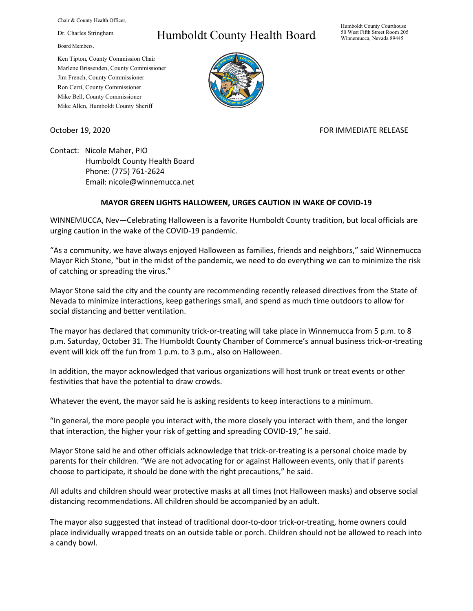Chair & County Health Officer,

Dr. Charles Stringham

Board Members,

Ken Tipton, County Commission Chair Marlene Brissenden, County Commissioner Jim French, County Commissioner Ron Cerri, County Commissioner Mike Bell, County Commissioner Mike Allen, Humboldt County Sheriff

## Humboldt County Health Board

Humboldt County Courthouse 50 West Fifth Street Room 205 Winnemucca, Nevada 89445



## October 19, 2020 FOR IMMEDIATE RELEASE

Contact: Nicole Maher, PIO Humboldt County Health Board Phone: (775) 761-2624 Email: nicole@winnemucca.net

## **MAYOR GREEN LIGHTS HALLOWEEN, URGES CAUTION IN WAKE OF COVID-19**

WINNEMUCCA, Nev—Celebrating Halloween is a favorite Humboldt County tradition, but local officials are urging caution in the wake of the COVID-19 pandemic.

"As a community, we have always enjoyed Halloween as families, friends and neighbors," said Winnemucca Mayor Rich Stone, "but in the midst of the pandemic, we need to do everything we can to minimize the risk of catching or spreading the virus."

Mayor Stone said the city and the county are recommending recently released directives from the State of Nevada to minimize interactions, keep gatherings small, and spend as much time outdoors to allow for social distancing and better ventilation.

The mayor has declared that community trick-or-treating will take place in Winnemucca from 5 p.m. to 8 p.m. Saturday, October 31. The Humboldt County Chamber of Commerce's annual business trick-or-treating event will kick off the fun from 1 p.m. to 3 p.m., also on Halloween.

In addition, the mayor acknowledged that various organizations will host trunk or treat events or other festivities that have the potential to draw crowds.

Whatever the event, the mayor said he is asking residents to keep interactions to a minimum.

"In general, the more people you interact with, the more closely you interact with them, and the longer that interaction, the higher your risk of getting and spreading COVID-19," he said.

Mayor Stone said he and other officials acknowledge that trick-or-treating is a personal choice made by parents for their children. "We are not advocating for or against Halloween events, only that if parents choose to participate, it should be done with the right precautions," he said.

All adults and children should wear protective masks at all times (not Halloween masks) and observe social distancing recommendations. All children should be accompanied by an adult.

The mayor also suggested that instead of traditional door-to-door trick-or-treating, home owners could place individually wrapped treats on an outside table or porch. Children should not be allowed to reach into a candy bowl.